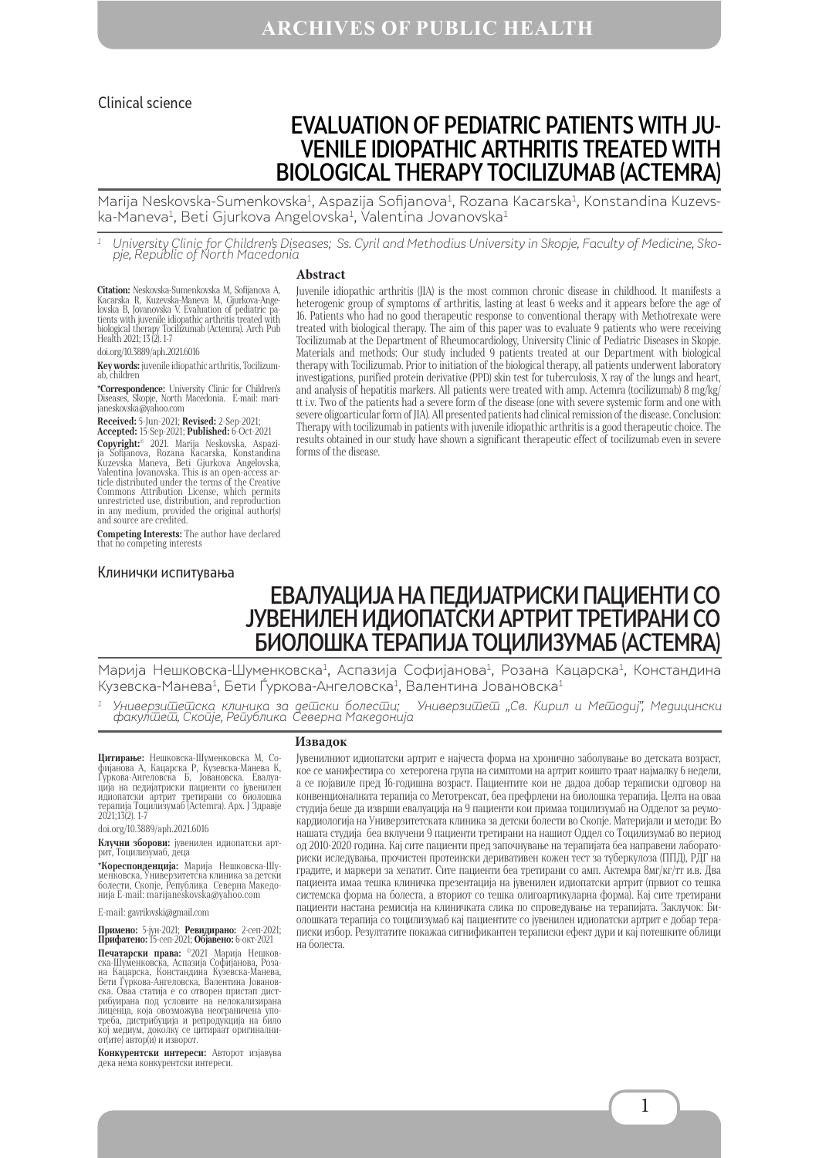#### Clinical science

# EVALUATION OF PEDIATRIC PATIENTS WITH ЈU-VENILE IDIOPATHIC ARTHRITIS TREATED WITH BIOLOGICAL THERAPY TOCILIZUMAB (ACTEMRA)

Marija Neskovska-Sumenkovska<sup>1</sup>, Aspazija Sofijanova<sup>1</sup>, Rozana Kacarska<sup>1</sup>, Konstandina Kuzevska-Maneva<sup>1</sup>, Beti Gjurkova Angelovska<sup>1</sup>, Valentina Jovanovska<sup>1</sup>

University Clinic for Children's Diseases; Ss. Cyril and Methodius University in Skopje, Faculty of Medicine, Sko-<br>pje, Republic of North Macedonia

#### **Abstract**

**Citation:** Neskovska-Sumenkovska M. Sofijanova A, Kacarska R, Kuzevska-Maneva M, Gjurkova-Angel<br>Jovska B, Jovanovska V. Evaluation of pediatric pa-<br>tients with juvenile idiopathic arthritis treated with<br>biological therapy

doi.org/10.3889/aph.2021.6016

**Key words:** juvenile idiopathic arthritis, Tocilizum-ab, children

**\*Correspondence:** University Clinic for Children's Diseases, Skopje, North Macedonia. Е-mail: mari- janeskovska@yahoo.com

**Received:** 5-Jun-2021; **Revised:** 2-Sep-2021;

**Accepted:** 15-Sep-2021; **Published:** 6-Oct-2021 **Copyright:©** 2021. Marija Neskovska, Aspazi-<br>ja Sofijanova, Rozana Kacarska, Konstandina<br>Kuzevska Maneva, Beti Gjurkova Angelovska, Valentina Jovanovska. This is an open-access ar- ticle distributed under the terms of the Creative Commons Attribution License, which permits unrestricted use, distribution, and reproduction in any medium, provided the original author(s) and source are credited.

**Competing Interests:** The author have declared that no competing interests

#### Клинички испитувања

Juvenile idiopathic arthritis (JIA) is the most common chronic disease in childhood. It manifests a heterogenic group of symptoms of arthritis, lasting at least 6 weeks and it appears before the age of 16. Patients who had no good therapeutic response to conventional therapy with Methotrexate were treated with biological therapy. The aim of this paper was to evaluate 9 patients who were receiving Tocilizumab at the Department of Rheumocardiology, University Clinic of Pediatric Diseases in Skopje. Materials and methods: Our study included 9 patients treated at our Department with biological therapy with Tocilizumab. Prior to initiation of the biological therapy, all patients underwent laboratory investigations, purified protein derivative (PPD) skin test for tuberculosis, X ray of the lungs and heart, and analysis of hepatitis markers. All patients were treated with amp. Actemra (tocilizumab) 8 mg/kg/ tt i.v. Two of the patients had a severe form of the disease (one with severe systemic form and one with severe oligoarticular form of JIA). All presented patients had clinical remission of the disease. Conclusion: Therapy with tocilizumab in patients with juvenile idiopathic arthritis is a good therapeutic choice. The results obtained in our study have shown a significant therapeutic effect of tocilizumab even in severe forms of the disease.

# ЕВАЛУАЦИЈА НА ПЕДИЈАТРИСКИ ПАЦИЕНТИ СО ЈУВЕНИЛЕН ИДИОПАТСКИ АРТРИТ ТРЕТИРАНИ СО БИОЛОШКА ТЕРАПИЈА ТОЦИЛИЗУМАБ (ACTEMRA)

Марија Нешковска-Шуменковска<sup>1</sup>, Аспазија Софијанова<sup>1</sup>, Розана Кацарска<sup>1</sup>, Констандина Кузевска-Манева<sup>1</sup>, Бети Ѓуркова-Ангеловска<sup>1</sup>, Валентина Јовановска<sup>1</sup>

 $^{\rm 1}$  Универзи $\overline{\rm u}$ е $\overline{\rm u}$ ска клиника за де $\overline{\rm u}$ ски болес $\overline{\rm u}$ и; Универзи $\overline{\rm u}$ ел.  $\overline{\rm d}$ кирил и Ме $\overline{\rm u}$ одиј", Медицински факул $\bar{\omega}$ е $\bar{\omega}$ , Ско $\bar{\omega}$ је, Ре $\bar{\omega}$ ублика Северна Македон $\omega$ ја

#### **Извадок**

**Цитирање:** Нешковска-Шуменковска М, Со-<br>фијанова А, Кацарска Р, Кузевска-Манева К,<br>Гуркова-Ангеловска Б, Јовановска. Евалуација на педијатриски пациенти со јувенилен идиопатски артрит третирани со биолошка терапија Тоцилизумаб (Actemra). Арх. Ј Здравје 2021;13(2). 1-7

doi.org/10.3889/aph.2021.6016

**Клучни зборови:** јувенилен идиопатски арт- рит, Tоцилизумаб, деца

**\*Кореспонденција:** Марија Нешковска-Шу-<br>менковска, Универзитетска клиника за детски болести, Скопје, Република Северна Македо-<br>нија E-mail: marijaneskovska@yahoo.com

E-mail: gavrilovski@gmail.com

**Примено:** 5-јун-2021; **Ревидирано:** 2-сеп-2021; **Прифатено:** 15-сеп-2021; **Објавено:** 6-окт-2021

**Печатарски права: ©2021** Марија Нешков-<br>ска-Шуменковска, Аспазија Софијанова, Роза-<br>на Кадарска, Констандина Кузевска-Манева, Бети Ѓуркова-Ангеловска, Валентина Јованов-ска. Оваа статија е со отворен пристап дистрибуирана под условите на нелокализирана лиценца, која овозможува неограничена упо- треба, дистрибуција и репродукција на било треба, дистрибуција и репродукција на било<br>кој медиум, доколку се цитираат оригинални-<br>от(ите) автор(и) и изворот.

**Конкурентски интереси:** Авторот изјавува дека нема конкурентски интереси.

Јувенилниот идиопатски артрит е најчеста форма на хронично заболување во детската возраст, кое се манифестира со хетерогена група на симптоми на артрит коишто траат најмалку 6 недели, а се појавиле пред 16-годишна возраст. Пациентите кои не дадоа добар тераписки одговор на конвенционалната терапија со Метотрексат, беа префрлени на биолошка терапија. Целта на оваа студија беше да изврши евалуација на 9 пациенти кои примаа тоцилизумаб на Одделот за реумокардиологија на Универзитетската клиника за детски болести во Скопје. Материјали и методи: Во нашата студија беа вклучени 9 пациенти третирани на нашиот Оддел со Тоцилизумаб во период од 2010-2020 година. Кај сите пациенти пред започнување на терапијата беа направени лабораториски иследувања, прочистен протеински деривативен кожен тест за туберкулоза (ППД), РДГ на градите, и маркери за хепатит. Сите пациенти беа третирани со амп. Актемра 8мг/кг/тт и.в. Два пациента имаа тешка клиничка презентација на јувенилен идиопатски артрит (првиот со тешка системска форма на болеста, а вториот со тешка олигоартикуларна форма). Кај сите третирани пациенти настана ремисија на клиничката слика по спроведување на терапијата. Заклучок: Биолошката терапија со тоцилизумаб кај пациентите со јувенилен идиопатски артрит е добар тераписки избор. Резултатите покажаа сигнификантен тераписки ефект дури и кај потешките облици на болеста.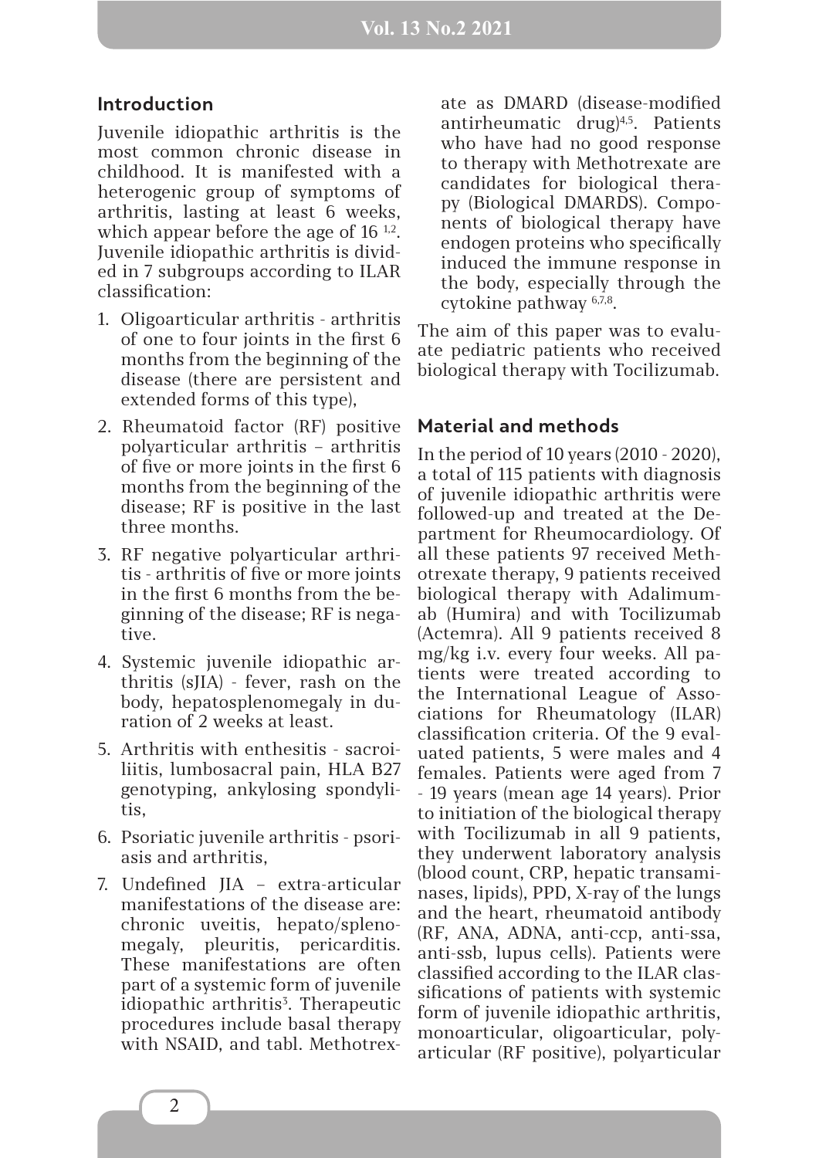### **Introduction**

Juvenile idiopathic arthritis is the most common chronic disease in childhood. It is manifested with a hetеrogenic group of symptoms of arthritis, lasting at least 6 weeks, which appear before the age of  $16^{1,2}$ . Juvenile idiopathic arthritis is divided in 7 subgroups according to ILAR classification:

- 1. Oligoarticular arthritis arthritis of one to four joints in the first 6 months from the beginning of the disease (there are persistent and extended forms of this type),
- 2. Rheumatoid factor (RF) positive polyarticular arthritis – arthritis of five or more joints in the first 6 months from the beginning of the disease; RF is positive in the last three months.
- 3. RF negative polyarticular arthritis - arthritis of five or more joints in the first 6 months from the beginning of the disease; RF is negative.
- 4. Systemic juvenile idiopathic arthritis (sJIA) - fever, rash on the body, hepatosplenomegaly in duration of 2 weeks at least.
- 5. Arthritis with enthesitis sacroiliitis, lumbosacral pain, HLA B27 genotyping, ankylosing spondylitis,
- 6. Psoriatic juvenile arthritis psoriasis and arthritis,
- 7. Undefined JIA extra-articular manifestations of the disease are: chronic uveitis, hepato/splenomegaly, pleuritis, pericarditis. These manifestations are often part of a systemic form of juvenile idiopathic arthritis<sup>3</sup>. Therapeutic procedures include basal therapy with NSAID, and tabl. Methotrex-

ate as DMARD (disease-modified antirheumatic drug)4,5. Patients who have had no good response to therapy with Methotrexate are candidates for biological therapy (Biological DMARDS). Components of biological therapy have endogen proteins who specifically induced the immune response in the body, especially through the cytokine pathway 6,7,8.

The aim of this paper was to evaluate pediatric patients who received biological therapy with Tocilizumab.

## **Material and methods**

In the period of 10 years (2010 - 2020), a total of 115 patients with diagnosis of juvenile idiopathic arthritis were followed-up and treated at the Department for Rheumocardiology. Of all these patients 97 received Methotrexate therapy, 9 patients received biological therapy with Adalimumab (Humira) and with Tocilizumab (Actemra). All 9 patients received 8 mg/kg i.v. every four weeks. All patients were treated according to the International League of Associations for Rheumatology (ILAR) classification criteria. Of the 9 evaluated patients, 5 were males and 4 females. Patients were aged from 7 - 19 years (mean age 14 years). Prior to initiation of the biological therapy with Tocilizumab in all 9 patients, they underwent laboratory analysis (blood count, CRP, hepatic transaminases, lipids), PPD, X-ray of the lungs and the heart, rheumatoid antibody (RF, ANA, ADNA, anti-ccp, anti-ssa, anti-ssb, lupus cells). Patients were classified according to the ILAR classifications of patients with systemic form of juvenile idiopathic arthritis, monoarticular, oligoarticular, polyarticular (RF positive), polyarticular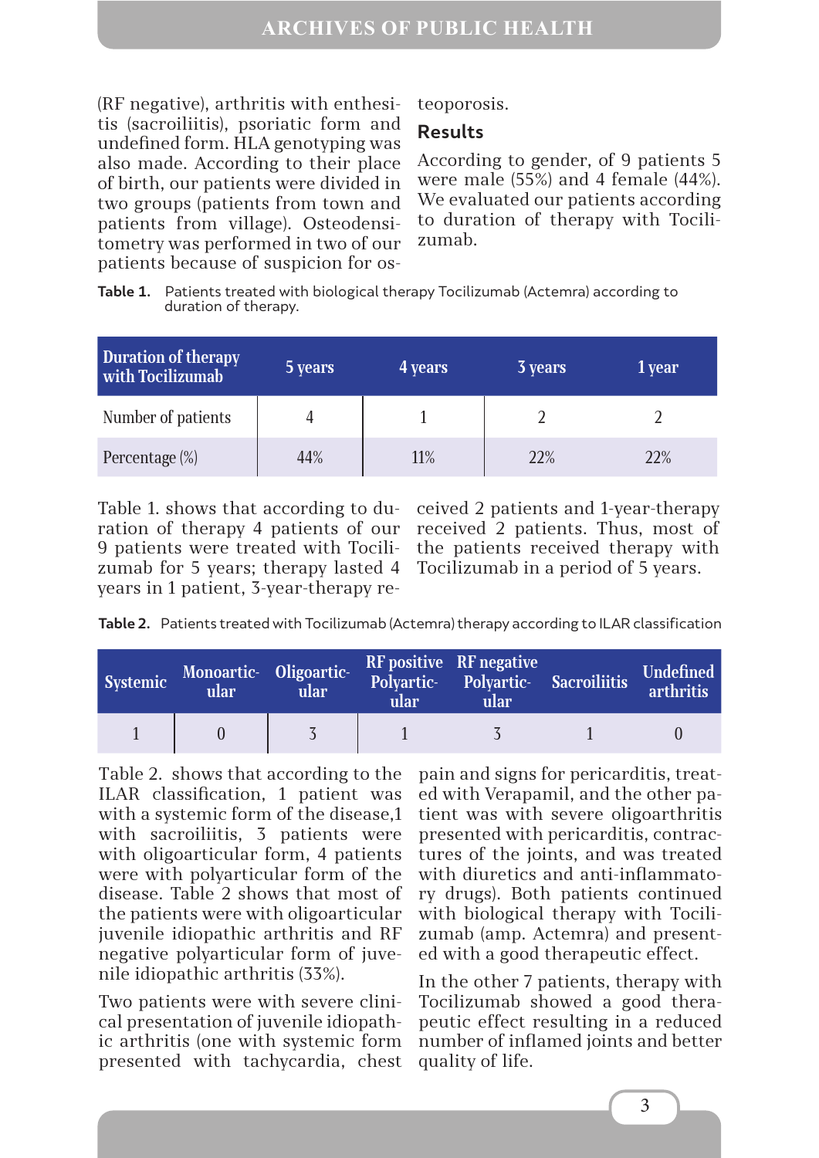(RF negative), arthritis with enthesitis (sacroiliitis), psoriatic form and undefined form. HLA genotyping was also made. According to their place of birth, our patients were divided in two groups (patients from town and patients from village). Osteodensitometry was performed in two of our patients because of suspicion for os-

teoporosis.

## **Results**

According to gender, of 9 patients 5 were male (55%) and 4 female (44%). We evaluated our patients according to duration of therapy with Tocilizumab.

**Table 1.** Patients treated with biological therapy Tocilizumab (Actemra) according to duration of therapy.

| Duration of therapy<br>with Tocilizumab | 5 years | 4 years | <b>3</b> years | 1 year |
|-----------------------------------------|---------|---------|----------------|--------|
| Number of patients                      |         |         |                |        |
| Percentage (%)                          | 44%     | 11%     | 22%            | 22%    |

Table 1. shows that according to duration of therapy 4 patients of our 9 patients were treated with Tocilizumab for 5 years; therapy lasted 4 years in 1 patient, 3-year-therapy re-

ceived 2 patients and 1-year-therapy received 2 patients. Thus, most of the patients received therapy with Tocilizumab in a period of 5 years.

**Table 2.** Patients treated with Tocilizumab (Actemra) therapy according to ILAR classification

| Systemic | Monoartic- Oligoartic-<br>ular | ular | ular | <b>RF</b> positive RF negative<br>Polyartic- Polyartic- Sacroiliitis<br>ular | Undefined<br>arthritis |
|----------|--------------------------------|------|------|------------------------------------------------------------------------------|------------------------|
|          |                                |      |      | $\sim$ 5                                                                     |                        |

Тable 2. shows that according to the ILAR classification, 1 patient was with a systemic form of the disease,1 with sacroiliitis, 3 patients were with oligoarticular form, 4 patients were with polyarticular form of the disease. Table 2 shows that most of the patients were with oligoarticular juvenile idiopathic arthritis and RF negative polyarticular form of juvenile idiopathic arthritis (33%).

Two patients were with severe clinical presentation of juvenile idiopathic arthritis (one with systemic form presented with tachycardia, chest pain and signs for pericarditis, treated with Verapamil, and the other patient was with severe oligoarthritis presented with pericarditis, contractures of the joints, and was treated with diuretics and anti-inflammatory drugs). Both patients continued with biological therapy with Tocilizumab (amp. Actemra) and presented with a good therapeutic effect.

In the other 7 patients, therapy with Tocilizumab showed a good therapeutic effect resulting in a reduced number of inflamed joints and better quality of life.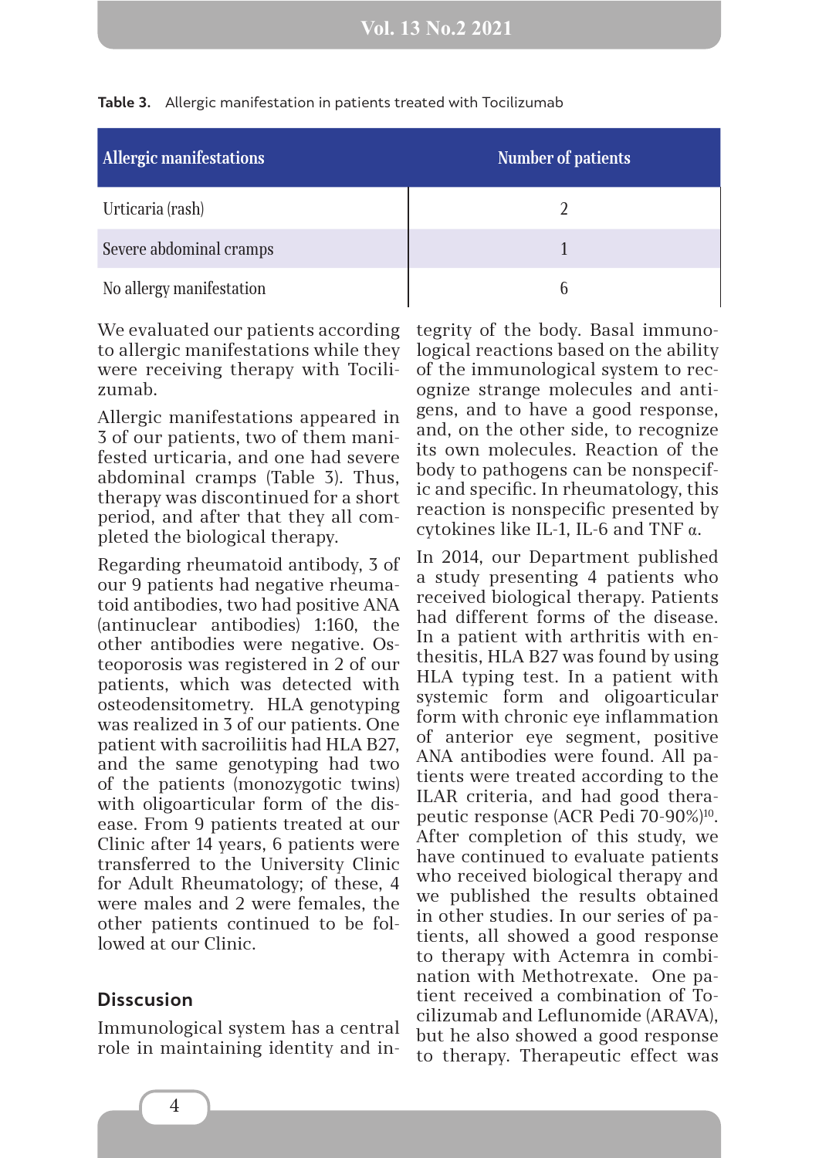| <b>Allergic manifestations</b> | <b>Number of patients</b> |
|--------------------------------|---------------------------|
| Urticaria (rash)               |                           |
| Severe abdominal cramps        |                           |
| No allergy manifestation       |                           |

#### **Table 3.** Allergic manifestation in patients treated with Tocilizumab

We evaluated our patients according to allergic manifestations while they were receiving therapy with Tocilizumab.

Allergic manifestations appeared in 3 of our patients, two of them manifested urticaria, and one had severe abdominal cramps (Table 3). Thus, therapy was discontinued for a short period, and after that they all completed the biological therapy.

Regarding rheumatoid antibody, 3 of our 9 patients had negative rheumatoid antibodies, two had positive ANA (antinuclear antibodies) 1:160, the other antibodies were negative. Osteoporosis was registered in 2 of our patients, which was detected with osteodensitometry. HLA genotyping was realized in 3 of our patients. One patient with sacroiliitis had HLA B27, and the same genotyping had two of the patients (monozygotic twins) with oligoarticular form of the disease. From 9 patients treated at our Clinic after 14 years, 6 patients were transferred to the University Clinic for Adult Rheumatology; of these, 4 were males and 2 were females, the other patients continued to be followed at our Clinic.

#### **Disscusion**

Immunological system has a central role in maintaining identity and integrity of the body. Basal immunological reactions based on the ability of the immunological system to recognize strange molecules and antigens, and to have a good response, and, on the other side, to recognize its own molecules. Reaction of the body to pathogens can be nonspecific and specific. In rheumatology, this reaction is nonspecific presented by cytokines like IL-1, IL-6 and TNF α.

In 2014, our Department published a study presenting 4 patients who received biological therapy. Patients had different forms of the disease. In a patient with arthritis with enthesitis, HLA B27 was found by using HLA typing test. In a patient with systemic form and oligoarticular form with chronic eye inflammation of anterior eye segment, positive ANA antibodies were found. All patients were treated according to the ILAR criteria, and had good therapeutic response (ACR Pedi 70-90%)10. After completion of this study, we have continued to evaluate patients who received biological therapy and we published the results obtained in other studies. In our series of patients, all showed a good response to therapy with Actemra in combination with Methotrexate. One patient received a combination of Tocilizumab and Leflunomide (ARAVA), but he also showed a good response to therapy. Therapeutic effect was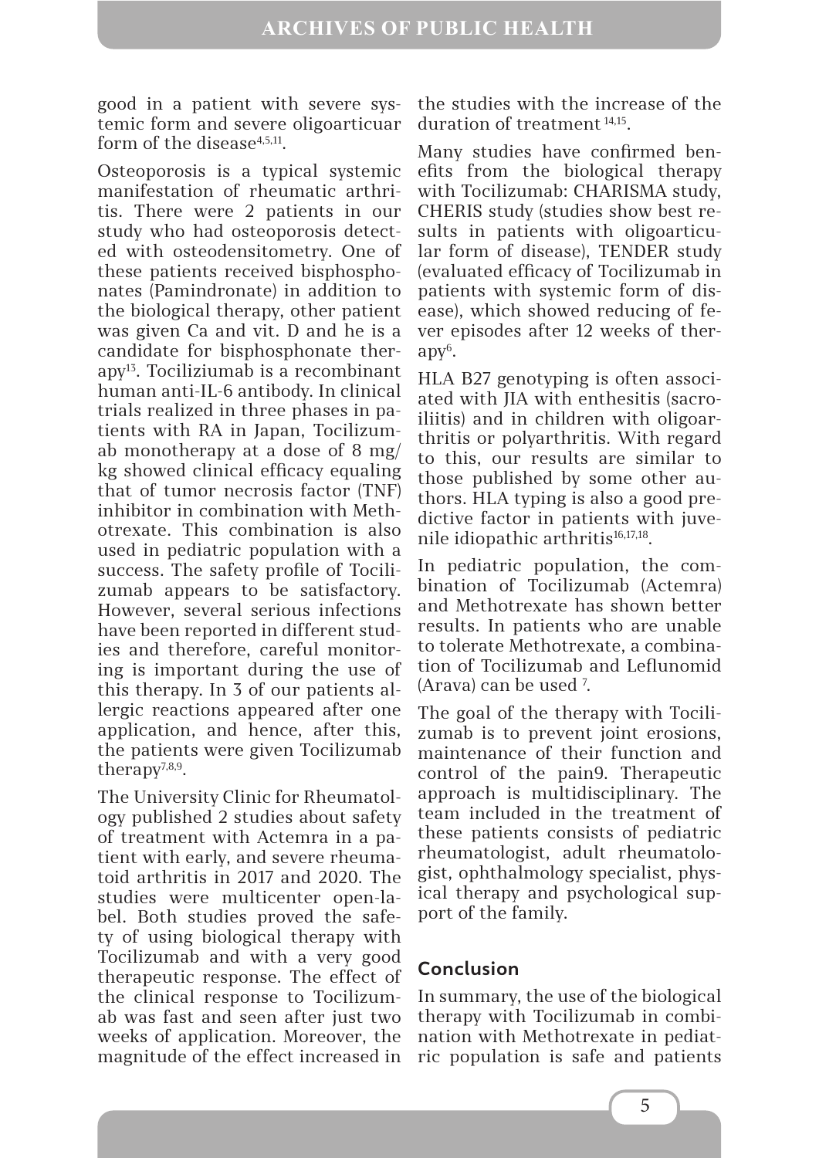good in a patient with severe systemic form and severe oligoarticuar form of the disease<sup>4,5,11</sup>.

Osteoporosis is a typical systemic manifestation of rheumatic arthritis. There were 2 patients in our study who had osteoporosis detected with osteodensitometry. One of these patients received bisphosphonates (Pamindronate) in addition to the biological therapy, other patient was given Ca and vit. D and he is a candidate for bisphosphonate ther $apy<sup>13</sup>$ . Tociliziumab is a recombinant human anti-IL-6 antibody. In clinical trials realized in three phases in patients with RA in Japan, Tocilizumab monotherapy at a dose of 8 mg/ kg showed clinical efficacy equaling that of tumor necrosis factor (TNF) inhibitor in combination with Methotrexate. This combination is also used in pediatric population with a success. The safety profile of Tocilizumab appears to be satisfactory. However, several serious infections have been reported in different studies and therefore, careful monitoring is important during the use of this therapy. In 3 of our patients allergic reactions appeared after one application, and hence, after this, the patients were given Tocilizumab therapy $7,8,9$ .

The University Clinic for Rheumatology published 2 studies about safety of treatment with Actemra in a patient with early, and severe rheumatoid arthritis in 2017 and 2020. The studies were multicenter open-label. Both studies proved the safety of using biological therapy with Tocilizumab and with a very good therapeutic response. The effect of the clinical response to Tocilizumab was fast and seen after just two weeks of application. Moreover, the magnitude of the effect increased in

the studies with the increase of the duration of treatment 14,15.

Many studies have confirmed benefits from the biological therapy with Tocilizumab: CHARISMA study, CHERIS study (studies show best results in patients with oligoarticular form of disease), TENDER study (evaluated efficacy of Tocilizumab in patients with systemic form of disease), which showed reducing of fever episodes after 12 weeks of ther- $\mathrm{apy}^6$ .

HLA B27 genotyping is often associated with JIA with enthesitis (sacroiliitis) and in children with oligoarthritis or polyarthritis. With regard to this, our results are similar to those published by some other authors. HLA typing is also a good predictive factor in patients with juvenile idiopathic arthritis<sup>16,17,18</sup>.

In pediatric population, the combination of Tocilizumab (Actemra) and Methotrexate has shown better results. In patients who are unable to tolerate Methotrexate, a combination of Tocilizumab and Leflunomid (Arava) can be used 7 .

The goal of the therapy with Tocilizumab is to prevent joint erosions, maintenance of their function and control of the pain9. Therapeutic approach is multidisciplinary. The team included in the treatment of these patients consists of pediatric rheumatologist, adult rheumatologist, ophthalmology specialist, physical therapy and psychological support of the family.

### **Conclusion**

In summary, the use of the biological therapy with Tocilizumab in combination with Methotrexate in pediatric population is safe and patients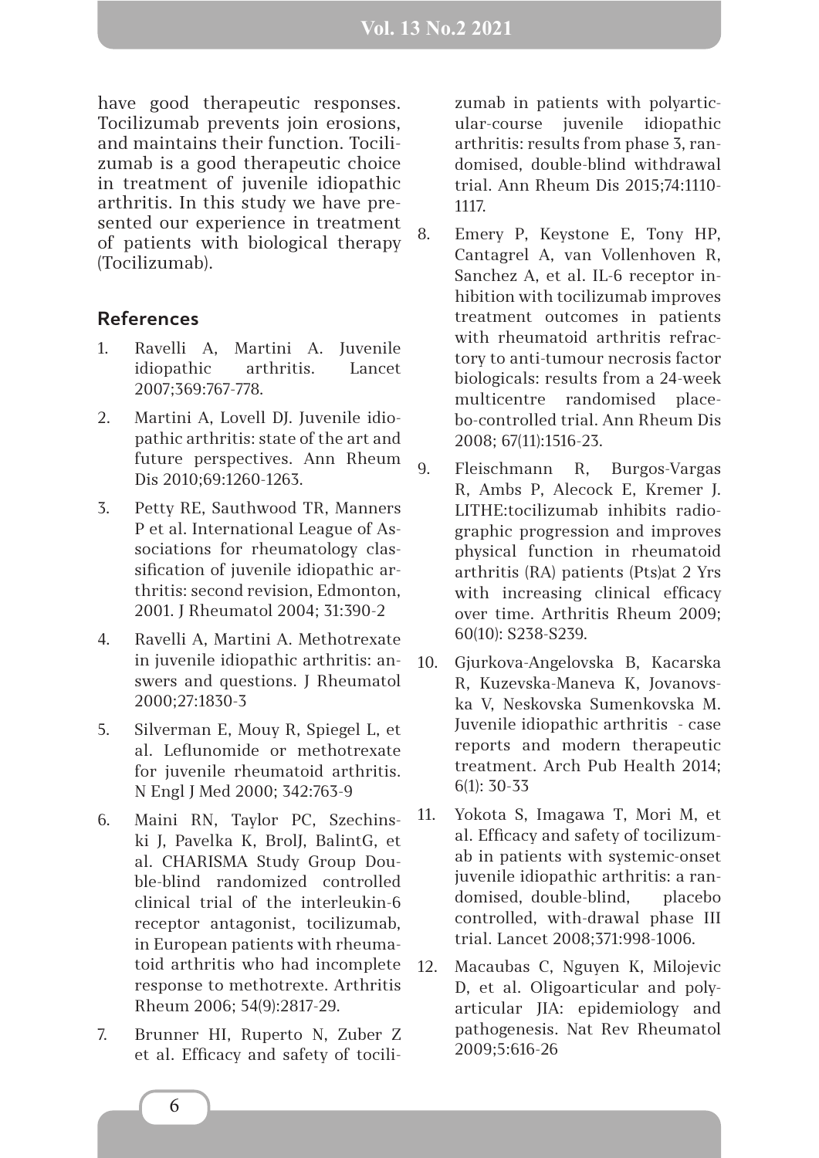have good therapeutic responses. Tocilizumab prevents join erosions, and maintains their function. Tocilizumab is a good therapeutic choice in treatment of juvenile idiopathic arthritis. In this study we have presented our experience in treatment of patients with biological therapy (Tocilizumab).

#### **References**

- 1. Ravelli A, Martini A. Juvenile idiopathic arthritis. Lancet 2007;369:767-778.
- 2. Martini A, Lovell DJ. Juvenile idiopathic arthritis: state of the art and future perspectives. Ann Rheum Dis 2010;69:1260-1263.
- 3. Petty RE, Sauthwood TR, Manners P et al. International League of Associations for rheumatology classification of juvenile idiopathic arthritis: second revision, Edmonton, 2001. J Rheumatol 2004; 31:390-2
- 4. Ravelli A, Martini A. Methotrexate in juvenile idiopathic arthritis: answers and questions. J Rheumatol 2000;27:1830-3
- 5. Silverman E, Mouy R, Spiegel L, et al. Leflunomide or methotrexate for juvenile rheumatoid arthritis. N Engl J Med 2000; 342:763-9
- 6. Maini RN, Taylor PC, Szechinski J, Pavelka K, BrolJ, BalintG, et al. CHARISMA Study Group Double-blind randomized controlled clinical trial of the interleukin-6 receptor antagonist, tocilizumab, in European patients with rheumatoid arthritis who had incomplete response to methotrexte. Arthritis Rheum 2006; 54(9):2817-29.
- 7. Brunner HI, Ruperto N, Zuber Z et al. Efficacy and safety of tocili-

zumab in patients with polyarticular-course juvenile idiopathic arthritis: results from phase 3, randomised, double-blind withdrawal trial. Ann Rheum Dis 2015;74:1110- 1117.

- 8. Emery P, Keystone E, Tony HP, Cantagrel A, van Vollenhoven R, Sanchez A, et al. IL-6 receptor inhibition with tocilizumab improves treatment outcomes in patients with rheumatoid arthritis refractory to anti-tumour necrosis factor biologicals: results from a 24-week multicentre randomised placebo-controlled trial. Ann Rheum Dis 2008; 67(11):1516-23.
- 9. Fleischmann R, Burgos-Vargas R, Ambs P, Alecock E, Kremer J. LITHE:tocilizumab inhibits radiographic progression and improves physical function in rheumatoid arthritis (RA) patients (Pts)at 2 Yrs with increasing clinical efficacy over time. Arthritis Rheum 2009; 60(10): S238-S239.
- 10. Gjurkova-Angelovska B, Kacarska R, Kuzevska-Maneva K, Jovanovska V, Neskovska Sumenkovska M. Juvenile idiopathic arthritis - case reports and modern therapeutic treatment. Arch Pub Health 2014; 6(1): 30-33
- 11. Yokota S, Imagawa T, Mori M, et al. Efficacy and safety of tocilizumab in patients with systemic-onset juvenile idiopathic arthritis: a randomised, double-blind, placebo controlled, with-drawal phase III trial. Lancet 2008;371:998-1006.
- 12. Macaubas C, Nguyen K, Milojevic D, et al. Oligoarticular and polyarticular JIA: epidemiology and pathogenesis. Nat Rev Rheumatol 2009;5:616-26